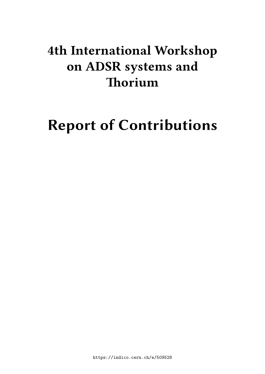## **4th International Workshop on ADSR systems and Thorium**

# **Report of Contributions**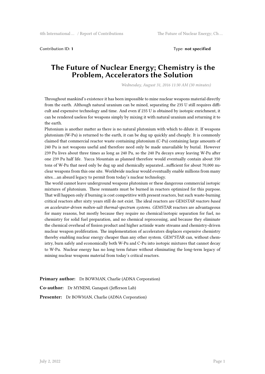Contribution ID: **1** Type: **not specified**

#### **The Future of Nuclear Energy; Chemistry is the Problem, Accelerators the Solution**

*Wednesday, August 31, 2016 11:30 AM (30 minutes)*

Throughout mankind's existence it has been impossible to mine nuclear weapons material directly from the earth. Although natural uranium can be mined, separating the 235 U still requires difficult and expensive technology and time. And even if 235 U is obtained by isotopic enrichment, it can be rendered useless for weapons simply by mixing it with natural uranium and returning it to the earth.

Plutonium is another matter as there is no natural plutonium with which to dilute it. If weapons plutonium (W-Pu) is returned to the earth, it can be dug up quickly and cheaply. It is commonly claimed that commercial reactor waste containing plutonium (C-Pu) containing large amounts of 240 Pu is not weapons useful and therefore need only be made unavailable by burial. However 239 Pu lives about three times as long as 240 Pu, so the 240 Pu decays away leaving W-Pu after one 239 Pu half life. Yucca Mountain as planned therefore would eventually contain about 350 tons of W-Pu that need only be dug up and chemically separated…sufficient for about 70,000 nuclear weapons from this one site. Worldwide nuclear would eventually enable millions from many sites….an absurd legacy to permit from today's nuclear technology.

The world cannot leave underground weapons plutonium or these dangerous commercial isotopic mixtures of plutonium. These remnants must be burned in reactors optimized for this purpose. That will happen only if burning is cost competitive with present reactors, but such waste-burning critical reactors after sixty years still do not exist. The ideal reactors are GEM*STAR reactors based on accelerator-driven molten-salt thermal-spectrum systems. GEM*STAR reactors are advantageous for many reasons, but mostly because they require no chemical/isotopic separation for fuel, no chemistry for solid fuel preparation, and no chemical reprocessing, and because they eliminate the chemical overhead of fission product and higher actinide waste streams and chemistry-driven nuclear weapon proliferation. The implementation of accelerators displaces expensive chemistry thereby enabling nuclear energy cheaper than any other system. GEM\*STAR can, without chemistry, burn safely and economically both W-Pu and C-Pu into isotopic mixtures that cannot decay to W-Pu. Nuclear energy has no long term future without eliminating the long-term legacy of mining nuclear weapons material from today's critical reactors.

**Primary author:** Dr BOWMAN, Charlie (ADNA Corporation)

**Co-author:** Dr MYNENI, Ganapati (Jefferson Lab)

**Presenter:** Dr BOWMAN, Charlie (ADNA Corporation)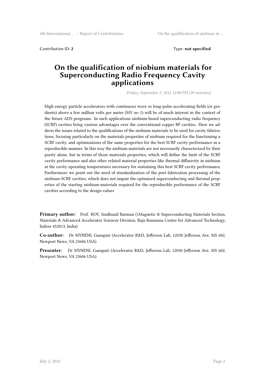**Contribution ID: 2** Type: **not specified** 

#### **On the qualification of niobium materials for Superconducting Radio Frequency Cavity applications**

*Friday, September 2, 2016 12:00 PM (30 minutes)*

High energy particle accelerators with continuous wave or long-pulse accelerating fields (or gradients) above a few million volts per meter (MV m−1) will be of much interest in the context of the future ADS programs. In such applications niobium-based superconducting radio frequency (SCRF) cavities bring various advantages over the conventional copper RF cavities. Here we address the issues related to the qualifications of the niobium materials to be used for cavity fabrications, focusing particularly on the materials properties of niobium required for the functioning a SCRF cavity, and optimizations of the same properties for the best SCRF cavity performance in a reproducible manner. In this way the niobium materials are not necessarily characterized by their purity alone, but in terms of those materials properties, which will define the limit of the SCRF cavity performance and also other related material properties like thermal diffusivity in niobium at the cavity operating temperatures necessary for sustaining this best SCRF cavity performance. Furthermore we point out the need of standardization of the post fabrication processing of the niobium-SCRF cavities, which does not impair the optimized superconducting and thermal properties of the starting niobium-materials required for the reproducible performance of the SCRF cavities according to the design values

**Primary author:** Prof. ROY, Sindhunil Barman (1Magnetic & Superconducting Materials Section, Materials & Advanced Accelerator Sciences Division, Raja Ramanna Centre for Advanced Technology, Indore 452013, India)

**Co-author:** Dr MYNENI, Ganapati (Accelerator R&D, Jefferson Lab, 12050 Jefferson Ave, MS 602, Newport News, VA 23606 USA)

**Presenter:** Dr MYNENI, Ganapati (Accelerator R&D, Jefferson Lab, 12050 Jefferson Ave, MS 602, Newport News, VA 23606 USA)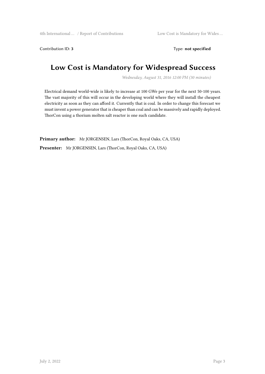Contribution ID: 3 Type: **not specified** 

## **Low Cost is Mandatory for Widespread Success**

*Wednesday, August 31, 2016 12:00 PM (30 minutes)*

Electrical demand world-wide is likely to increase at 100 GWe per year for the next 50-100 years. The vast majority of this will occur in the developing world where they will install the cheapest electricity as soon as they can afford it. Currently that is coal. In order to change this forecast we must invent a power generator that is cheaper than coal and can be massively and rapidly deployed. ThorCon using a thorium molten salt reactor is one such candidate.

**Primary author:** Mr JORGENSEN, Lars (ThorCon, Royal Oaks, CA, USA) **Presenter:** Mr JORGENSEN, Lars (ThorCon, Royal Oaks, CA, USA)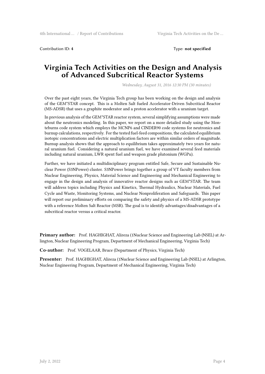Contribution ID: **4** Type: **not specified**

### **Virginia Tech Activities on the Design and Analysis of Advanced Subcritical Reactor Systems**

*Wednesday, August 31, 2016 12:30 PM (30 minutes)*

Over the past eight years, the Virginia Tech group has been working on the design and analysis of the GEM\*STAR concept. This is a Molten Salt fueled Accelerator-Driven Subcritical Reactor (MS-ADSR) that uses a graphite moderator and a proton accelerator with a uranium target.

In previous analysis of the GEM\*STAR reactor system, several simplifying assumptions were made about the neutronics modeling. In this paper, we report on a more detailed study using the Monteburns code system which employs the MCNP6 and CINDER90 code systems for neutronics and burnup calculations, respectively. For the tested fuel-feed compositions, the calculated equilibrium isotopic concentrations and electric multiplication factors are within similar orders of magnitude. Burnup analysis shows that the approach to equilibrium takes approximately two years for natural uranium fuel. Considering a natural uranium fuel, we have examined several feed materials including natural uranium, LWR spent fuel and weapon grade plutonium (WGPu).

Further, we have initiated a multidisciplinary program entitled Safe, Secure and Sustainable Nuclear Power (S3NPower) cluster. S3NPower brings together a group of VT faculty members from Nuclear Engineering, Physics, Material Science and Engineering and Mechanical Engineering to engage in the design and analysis of innovative reactor designs such as GEM\*STAR. The team will address topics including Physics and Kinetics, Thermal Hydraulics, Nuclear Materials, Fuel Cycle and Waste, Monitoring Systems, and Nuclear Nonproliferation and Safeguards. This paper will report our preliminary efforts on comparing the safety and physics of a MS-ADSR prototype with a reference Molten Salt Reactor (MSR). The goal is to identify advantages/disadvantages of a subcritical reactor versus a critical reactor.

**Primary author:** Prof. HAGHIGHAT, Alireza (1Nuclear Science and Engineering Lab (NSEL) at Arlington, Nuclear Engineering Program, Department of Mechanical Engineering, Virginia Tech)

**Co-author:** Prof. VOGELAAR, Bruce (Department of Physics, Virginia Tech)

**Presenter:** Prof. HAGHIGHAT, Alireza (1Nuclear Science and Engineering Lab (NSEL) at Arlington, Nuclear Engineering Program, Department of Mechanical Engineering, Virginia Tech)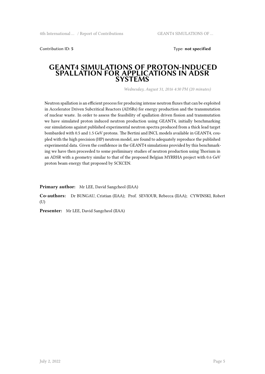Contribution ID: **5** Type: **not specified**

#### **GEANT4 SIMULATIONS OF PROTON-INDUCED SPALLATION FOR APPLICATIONS IN ADSR SYSTEMS**

*Wednesday, August 31, 2016 4:30 PM (20 minutes)*

Neutron spallation is an efficient process for producing intense neutron fluxes that can be exploited in Accelerator Driven Subcritical Reactors (ADSRs) for energy production and the transmutation of nuclear waste. In order to assess the feasibility of spallation driven fission and transmutation we have simulated proton induced neutron production using GEANT4, initially benchmarking our simulations against published experimental neutron spectra produced from a thick lead target bombarded with 0.5 and 1.5 GeV protons. The Bertini and INCL models available in GEANT4, coupled with the high precision (HP) neutron model, are found to adequately reproduce the published experimental data. Given the confidence in the GEANT4 simulations provided by this benchmarking we have then proceeded to some preliminary studies of neutron production using Thorium in an ADSR with a geometry similar to that of the proposed Belgian MYRRHA project with 0.6 GeV proton beam energy that proposed by SCKCEN.

**Primary author:** Mr LEE, David Sangcheol (IIAA)

**Co-authors:** Dr BUNGAU, Cristian (IIAA); Prof. SEVIOUR, Rebecca (IIAA); CYWINSKI, Robert (U)

**Presenter:** Mr LEE, David Sangcheol (IIAA)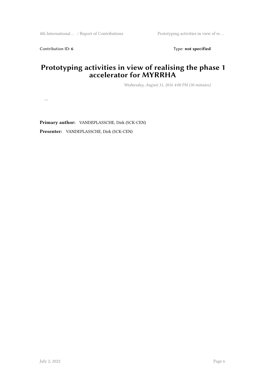Contribution ID: 6 Type: **not specified** 

## **Prototyping activities in view of realising the phase 1 accelerator for MYRRHA**

*Wednesday, August 31, 2016 4:00 PM (30 minutes)*

…

**Primary author:** VANDEPLASSCHE, Dirk (SCK-CEN)

**Presenter:** VANDEPLASSCHE, Dirk (SCK-CEN)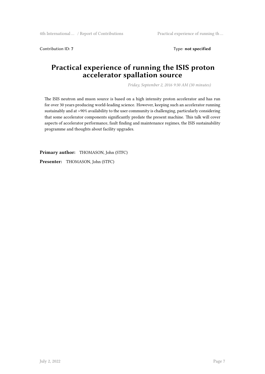Contribution ID: 7 Type: **not specified** 

## **Practical experience of running the ISIS proton accelerator spallation source**

*Friday, September 2, 2016 9:30 AM (30 minutes)*

The ISIS neutron and muon source is based on a high intensity proton accelerator and has run for over 30 years producing world-leading science. However, keeping such an accelerator running sustainably and at >90% availability to the user community is challenging, particularly considering that some accelerator components significantly predate the present machine. This talk will cover aspects of accelerator performance, fault finding and maintenance regimes, the ISIS sustainability programme and thoughts about facility upgrades.

**Primary author:** THOMASON, John (STFC) **Presenter:** THOMASON, John (STFC)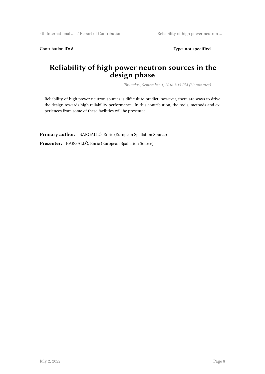Contribution ID: 8 Type: not specified

## **Reliability of high power neutron sources in the design phase**

*Thursday, September 1, 2016 3:15 PM (30 minutes)*

Reliability of high power neutron sources is difficult to predict; however, there are ways to drive the design towards high reliability performance. In this contribution, the tools, methods and experiences from some of these facilities will be presented.

**Primary author:** BARGALLÓ, Enric (European Spallation Source) **Presenter:** BARGALLÓ, Enric (European Spallation Source)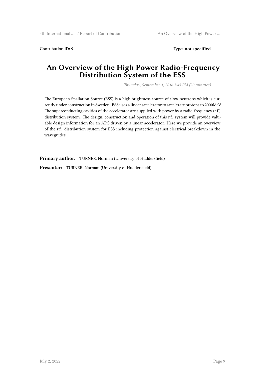Contribution ID: 9 Type: **not specified** 

## **An Overview of the High Power Radio-Frequency Distribution System of the ESS**

*Thursday, September 1, 2016 3:45 PM (20 minutes)*

The European Spallation Source (ESS) is a high brightness source of slow neutrons which is currently under construction in Sweden. ESS uses a linear accelerator to accelerate protons to 2000MeV. The superconducting cavities of the accelerator are supplied with power by a radio-frequency (r.f.) distribution system. The design, construction and operation of this r.f. system will provide valuable design information for an ADS driven by a linear accelerator. Here we provide an overview of the r.f. distribution system for ESS including protection against electrical breakdown in the waveguides.

**Primary author:** TURNER, Norman (University of Huddersfield)

**Presenter:** TURNER, Norman (University of Huddersfield)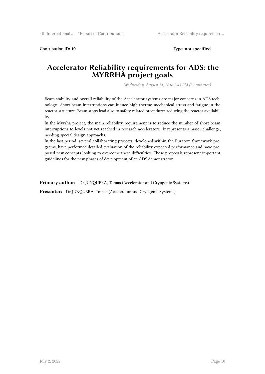Contribution ID: 10 **Type:** not specified

#### **Accelerator Reliability requirements for ADS: the MYRRHA project goals**

*Wednesday, August 31, 2016 2:45 PM (30 minutes)*

Beam stability and overall reliability of the Accelerator systems are major concerns in ADS technology. Short beam interruptions can induce high thermo-mechanical stress and fatigue in the reactor structure. Beam stops lead also to safety related procedures reducing the reactor availability.

In the Myrrha project, the main reliability requirement is to reduce the number of short beam interruptions to levels not yet reached in research accelerators. It represents a major challenge, needing special design approachs.

In the last period, several collaborating projects, developed within the Euratom framework programs, have performed detailed evaluation of the reliability expected performance and have proposed new concepts looking to overcome these difficulties. These proposals represent important guidelines for the new phases of development of an ADS demonstrator.

**Primary author:** Dr JUNQUERA, Tomas (Accelerator and Cryogenic Systems)

**Presenter:** Dr JUNQUERA, Tomas (Accelerator and Cryogenic Systems)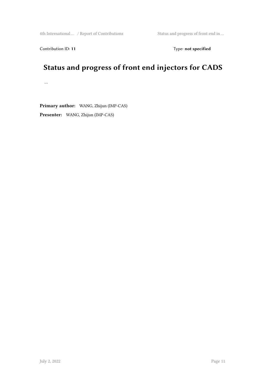4th International … / Report of Contributions Status and progress of front end in …

Contribution ID: 11 Type: **not specified** 

## **Status and progress of front end injectors for CADS**

…

**Primary author:** WANG, Zhijun (IMP-CAS) **Presenter:** WANG, Zhijun (IMP-CAS)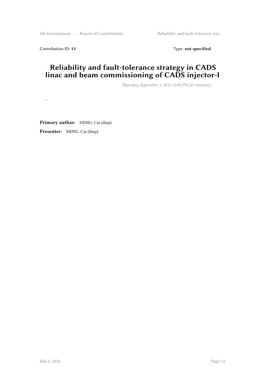4th International … / Report of Contributions Reliability and fault-tolerance stra …

Contribution ID: 13 Type: **not specified** 

## **Reliability and fault-tolerance strategy in CADS linac and beam commissioning of CADS injector-I**

*Thursday, September 1, 2016 12:00 PM (45 minutes)*

…

**Primary author:** MENG, Cai (ihep) **Presenter:** MENG, Cai (ihep)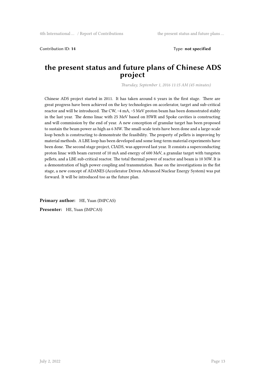Contribution ID: **14** Type: **not specified**

#### **the present status and future plans of Chinese ADS project**

*Thursday, September 1, 2016 11:15 AM (45 minutes)*

Chinese ADS project started in 2011. It has taken around 6 years in the first stage. There are great progress have been achieved on the key technologies on accelerator, target and sub-critical reactor and will be introduced. The CW, ~4 mA, ~5 MeV proton beam has been domostrated stably in the last year. The demo linac with 25 MeV based on HWR and Spoke cavities is constructing and will commission by the end of year. A new conception of granular target has been proposed to sustain the beam power as high as 6 MW. The small-scale tests have been done and a large-scale loop bench is constructing to demonstrate the feasibility. The property of pellets is improving by material methods. A LBE loop has been developed and some long-term material experiments have been done. The second stage project, CIADS, was approved last year. It consists a superconducting proton linac with beam current of 10 mA and energy of 600 MeV, a granular target with tungsten pellets, and a LBE sub-critical reactor. The total thermal power of reactor and beam is 10 MW. It is a demonstration of high power coupling and transmutation. Base on the investigations in the fist stage, a new concept of ADANES (Accelerator Driven Advanced Nuclear Energy System) was put forward. It will be introduced too as the future plan.

**Primary author:** HE, Yuan (IMPCAS) **Presenter:** HE, Yuan (IMPCAS)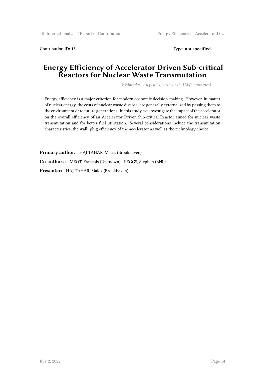Contribution ID: **15** Type: **not specified**

## **Energy Efficiency of Accelerator Driven Sub-critical Reactors for Nuclear Waste Transmutation**

*Wednesday, August 31, 2016 10:15 AM (30 minutes)*

Energy efficiency is a major criterion for modern economic decision-making. However, in matter of nuclear energy, the costs of nuclear waste disposal are generally externalized by passing them to the environment or to future generations. In this study, we investigate the impact of the accelerator on the overall efficiency of an Accelerator Driven Sub-critical Reactor aimed for nuclear waste transmutation and for better fuel utilization. Several considerations include the transmutation characteristics, the wall- plug efficiency of the accelerator as well as the technology choice.

**Primary author:** HAJ TAHAR, Malek (Brookhaven) **Co-authors:** MEOT, Francois (Unknown); PEGGS, Stephen (BNL) **Presenter:** HAJ TAHAR, Malek (Brookhaven)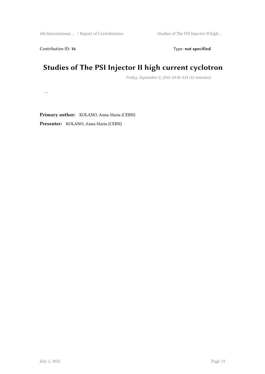Contribution ID: 16 Type: not specified

## **Studies of The PSI Injector II high current cyclotron**

*Friday, September 2, 2016 10:30 AM (15 minutes)*

…

**Primary author:** KOLANO, Anna Maria (CERN) **Presenter:** KOLANO, Anna Maria (CERN)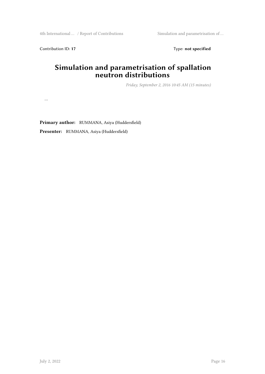4th International … / Report of Contributions Simulation and parametrisation of …

…

Contribution ID: 17 Type: **not specified** 

## **Simulation and parametrisation of spallation neutron distributions**

*Friday, September 2, 2016 10:45 AM (15 minutes)*

**Primary author:** RUMMANA, Asiya (Huddersfield)

**Presenter:** RUMMANA, Asiya (Huddersfield)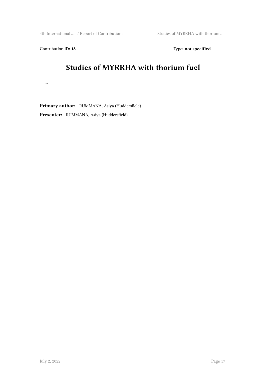4th International … / Report of Contributions Studies of MYRRHA with thorium …

Contribution ID: 18 Type: not specified

## **Studies of MYRRHA with thorium fuel**

…

**Primary author:** RUMMANA, Asiya (Huddersfield) **Presenter:** RUMMANA, Asiya (Huddersfield)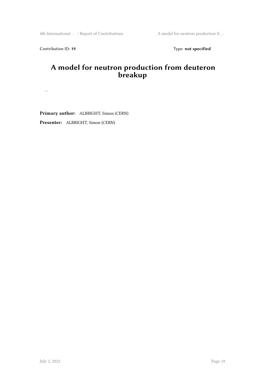4th International … / Report of Contributions A model for neutron production fr ...

Contribution ID: 19 Type: **not specified** 

## **A model for neutron production from deuteron breakup**

…

**Primary author:** ALBRIGHT, Simon (CERN) **Presenter:** ALBRIGHT, Simon (CERN)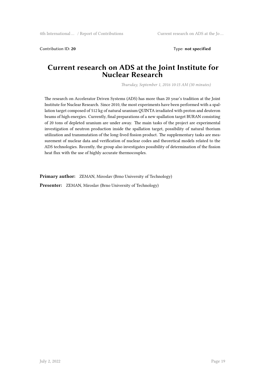Contribution ID: **20** Type: **not specified**

#### **Current research on ADS at the Joint Institute for Nuclear Research**

*Thursday, September 1, 2016 10:15 AM (30 minutes)*

The research on Accelerator Driven Systems (ADS) has more than 20 year's tradition at the Joint Institute for Nuclear Research. Since 2010, the most experiments have been performed with a spallation target composed of 512 kg of natural uranium QUINTA irradiated with proton and deuteron beams of high energies. Currently, final preparations of a new spallation target BURAN consisting of 20 tons of depleted uranium are under away. The main tasks of the project are experimental investigation of neutron production inside the spallation target, possibility of natural thorium utilization and transmutation of the long-lived fission product. The supplementary tasks are measurement of nuclear data and verification of nuclear codes and theoretical models related to the ADS technologies. Recently, the group also investigates possibility of determination of the fission heat flux with the use of highly accurate thermocouples.

**Primary author:** ZEMAN, Miroslav (Brno University of Technology)

**Presenter:** ZEMAN, Miroslav (Brno University of Technology)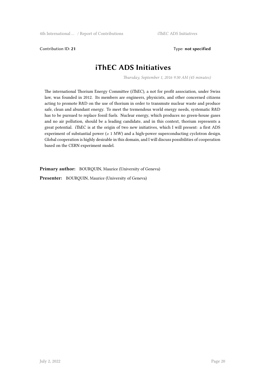Contribution ID: **21** Type: **not specified**

## **iThEC ADS Initiatives**

*Thursday, September 1, 2016 9:30 AM (45 minutes)*

The international Thorium Energy Committee (iThEC), a not for profit association, under Swiss law, was founded in 2012. Its members are engineers, physicists, and other concerned citizens acting to promote R&D on the use of thorium in order to transmute nuclear waste and produce safe, clean and abundant energy. To meet the tremendous world energy needs, systematic R&D has to be pursued to replace fossil fuels. Nuclear energy, which produces no green-house gases and no air pollution, should be a leading candidate, and in this context, thorium represents a great potential. iThEC is at the origin of two new initiatives, which I will present: a first ADS experiment of substantial power  $(≥ 1 MW)$  and a high-power superconducting cyclotron design. Global cooperation is highly desirable in this domain, and I will discuss possibilities of cooperation based on the CERN experiment model.

**Primary author:** BOURQUIN, Maurice (University of Geneva)

**Presenter:** BOURQUIN, Maurice (University of Geneva)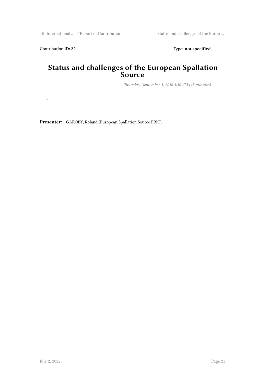…

Contribution ID: 22 Type: **not specified** 

## **Status and challenges of the European Spallation Source**

*Thursday, September 1, 2016 1:30 PM (45 minutes)*

**Presenter:** GAROBY, Roland (European Spallation Source ERIC)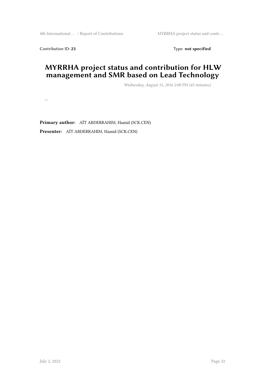Contribution ID: 23 Type: **not specified** 

## **MYRRHA project status and contribution for HLW management and SMR based on Lead Technology**

*Wednesday, August 31, 2016 2:00 PM (45 minutes)*

…

**Primary author:** AÏT ABDERRAHIM, Hamid (SCK.CEN) **Presenter:** AÏT ABDERRAHIM, Hamid (SCK.CEN)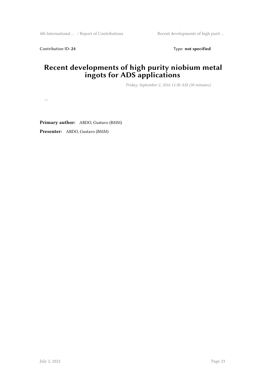Contribution ID: 24 Type: **not specified** 

## **Recent developments of high purity niobium metal ingots for ADS applications**

*Friday, September 2, 2016 11:30 AM (30 minutes)*

…

**Primary author:** ABDO, Gustavo (BMM)

**Presenter:** ABDO, Gustavo (BMM)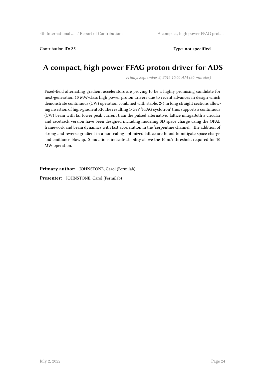Contribution ID: **25** Type: **not specified**

## **A compact, high power FFAG proton driver for ADS**

*Friday, September 2, 2016 10:00 AM (30 minutes)*

Fixed-field alternating gradient accelerators are proving to be a highly promising candidate for next-generation 10 MW-class high power proton drivers due to recent advances in design which demonstrate continuous (CW) operation combined with stable, 2-4 m long straight sections allowing insertion of high-gradient RF. The resulting 1-GeV 'FFAG cyclotron' thus supports a continuous (CW) beam with far lower peak current than the pulsed alternative. lattice mitigaBoth a circular and racetrack version have been designed including modeling 3D space charge using the OPAL framework and beam dynamics with fast acceleration in the 'serpentine channel'. The addition of strong and reverse gradient in a nonscaling optimized lattice are found to mitigate space charge and emittance blowup. Simulations indicate stability above the 10 mA threshold required for 10 MW operation.

**Primary author:** JOHNSTONE, Carol (Fermilab)

**Presenter:** JOHNSTONE, Carol (Fermilab)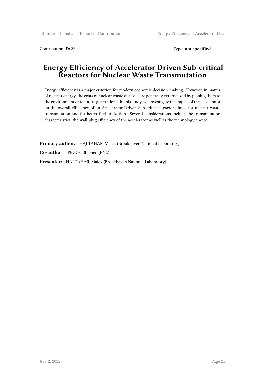Contribution ID: **26** Type: **not specified**

## **Energy Efficiency of Accelerator Driven Sub-critical Reactors for Nuclear Waste Transmutation**

Energy efficiency is a major criterion for modern economic decision-making. However, in matter of nuclear energy, the costs of nuclear waste disposal are generally externalized by passing them to the environment or to future generations. In this study, we investigate the impact of the accelerator on the overall efficiency of an Accelerator Driven Sub-critical Reactor aimed for nuclear waste transmutation and for better fuel utilization. Several considerations include the transmutation characteristics, the wall-plug efficiency of the accelerator as well as the technology choice.

**Primary author:** HAJ TAHAR, Malek (Brookhaven National Laboratory)

**Co-author:** PEGGS, Stephen (BNL)

**Presenter:** HAJ TAHAR, Malek (Brookhaven National Laboratory)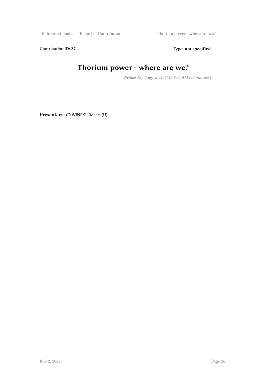4th International … / Report of Contributions Thorium power - where are we?

Contribution ID: 27 Type: **not specified** 

## **Thorium power - where are we?**

*Wednesday, August 31, 2016 9:30 AM (45 minutes)*

**Presenter:** CYWINSKI, Robert (U)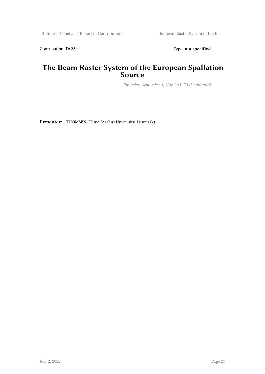Contribution ID: 28 Type: **not specified** 

## **The Beam Raster System of the European Spallation Source**

*Thursday, September 1, 2016 2:15 PM (30 minutes)*

**Presenter:** THOMSEN, Heine (Aarhus University, Denmark)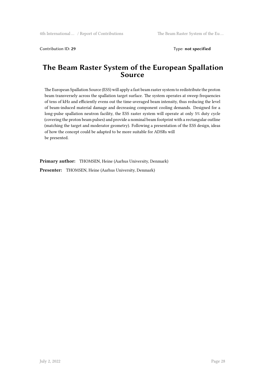Contribution ID: **29** Type: **not specified**

### **The Beam Raster System of the European Spallation Source**

The European Spallation Source (ESS) will apply a fast beam raster system to redistribute the proton beam transversely across the spallation target surface. The system operates at sweep frequencies of tens of kHz and efficiently evens out the time-averaged beam intensity, thus reducing the level of beam-induced material damage and decreasing component cooling demands. Designed for a long-pulse spallation neutron facility, the ESS raster system will operate at only 5% duty cycle (covering the proton beam pulses) and provide a nominal beam footprint with a rectangular outline (matching the target and moderator geometry). Following a presentation of the ESS design, ideas of how the concept could be adapted to be more suitable for ADSRs will be presented.

**Primary author:** THOMSEN, Heine (Aarhus University, Denmark)

**Presenter:** THOMSEN, Heine (Aarhus University, Denmark)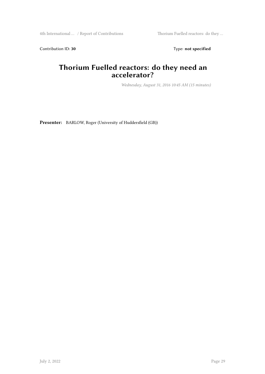4th International … / Report of Contributions Thorium Fuelled reactors: do they …

Contribution ID: 30 Type: **not specified** 

## **Thorium Fuelled reactors: do they need an accelerator?**

*Wednesday, August 31, 2016 10:45 AM (15 minutes)*

**Presenter:** BARLOW, Roger (University of Huddersfield (GB))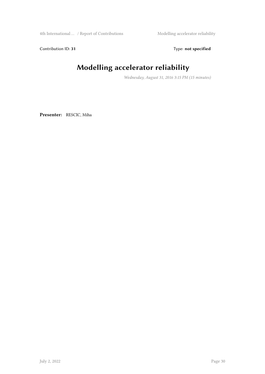4th International … / Report of Contributions Modelling accelerator reliability

Contribution ID: 31 Type: **not specified** 

## **Modelling accelerator reliability**

*Wednesday, August 31, 2016 3:15 PM (15 minutes)*

**Presenter:** RESCIC, Miha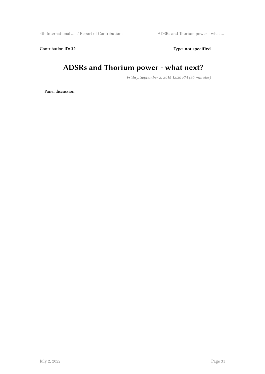Contribution ID: 32 Type: **not specified** 

## **ADSRs and Thorium power - what next?**

*Friday, September 2, 2016 12:30 PM (30 minutes)*

Panel discussion